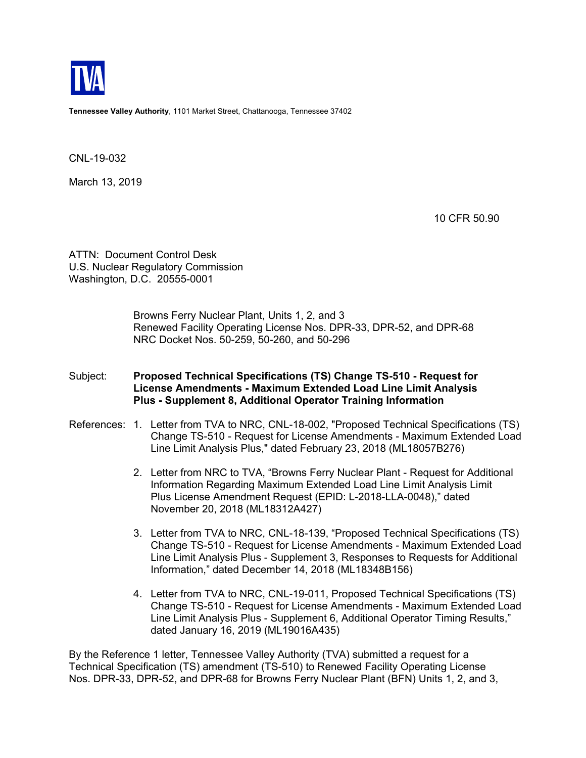

**Tennessee Valley Authority**, 1101 Market Street, Chattanooga, Tennessee 37402

CNL-19-032

March 13, 2019

10 CFR 50.90

ATTN: Document Control Desk U.S. Nuclear Regulatory Commission Washington, D.C. 20555-0001

> Browns Ferry Nuclear Plant, Units 1, 2, and 3 Renewed Facility Operating License Nos. DPR-33, DPR-52, and DPR-68 NRC Docket Nos. 50-259, 50-260, and 50-296

## Subject: **Proposed Technical Specifications (TS) Change TS-510 - Request for License Amendments - Maximum Extended Load Line Limit Analysis Plus - Supplement 8, Additional Operator Training Information**

- References: 1. Letter from TVA to NRC, CNL-18-002, "Proposed Technical Specifications (TS) Change TS-510 - Request for License Amendments - Maximum Extended Load Line Limit Analysis Plus," dated February 23, 2018 (ML18057B276)
	- 2. Letter from NRC to TVA, "Browns Ferry Nuclear Plant Request for Additional Information Regarding Maximum Extended Load Line Limit Analysis Limit Plus License Amendment Request (EPID: L-2018-LLA-0048)," dated November 20, 2018 (ML18312A427)
	- 3. Letter from TVA to NRC, CNL-18-139, "Proposed Technical Specifications (TS) Change TS-510 - Request for License Amendments - Maximum Extended Load Line Limit Analysis Plus - Supplement 3, Responses to Requests for Additional Information," dated December 14, 2018 (ML18348B156)
	- 4. Letter from TVA to NRC, CNL-19-011, Proposed Technical Specifications (TS) Change TS-510 - Request for License Amendments - Maximum Extended Load Line Limit Analysis Plus - Supplement 6, Additional Operator Timing Results," dated January 16, 2019 (ML19016A435)

By the Reference 1 letter, Tennessee Valley Authority (TVA) submitted a request for a Technical Specification (TS) amendment (TS-510) to Renewed Facility Operating License Nos. DPR-33, DPR-52, and DPR-68 for Browns Ferry Nuclear Plant (BFN) Units 1, 2, and 3,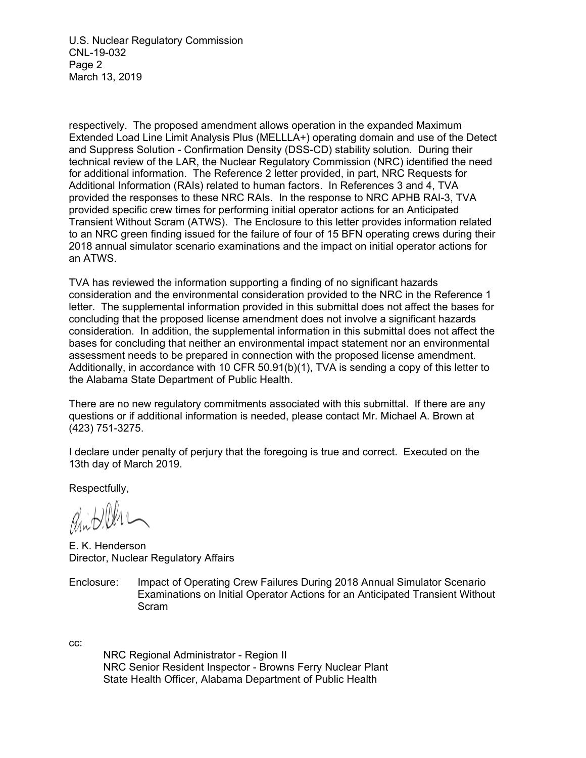U.S. Nuclear Regulatory Commission CNL-19-032 Page 2 March 13, 2019

respectively. The proposed amendment allows operation in the expanded Maximum Extended Load Line Limit Analysis Plus (MELLLA+) operating domain and use of the Detect and Suppress Solution - Confirmation Density (DSS-CD) stability solution. During their technical review of the LAR, the Nuclear Regulatory Commission (NRC) identified the need for additional information. The Reference 2 letter provided, in part, NRC Requests for Additional Information (RAIs) related to human factors. In References 3 and 4, TVA provided the responses to these NRC RAIs. In the response to NRC APHB RAI-3, TVA provided specific crew times for performing initial operator actions for an Anticipated Transient Without Scram (ATWS). The Enclosure to this letter provides information related to an NRC green finding issued for the failure of four of 15 BFN operating crews during their 2018 annual simulator scenario examinations and the impact on initial operator actions for an ATWS.

TVA has reviewed the information supporting a finding of no significant hazards consideration and the environmental consideration provided to the NRC in the Reference 1 letter. The supplemental information provided in this submittal does not affect the bases for concluding that the proposed license amendment does not involve a significant hazards consideration. In addition, the supplemental information in this submittal does not affect the bases for concluding that neither an environmental impact statement nor an environmental assessment needs to be prepared in connection with the proposed license amendment. Additionally, in accordance with 10 CFR  $50.91(b)(1)$ , TVA is sending a copy of this letter to the Alabama State Department of Public Health.

There are no new regulatory commitments associated with this submittal. If there are any questions or if additional information is needed, please contact Mr. Michael A. Brown at (423) 751-3275.

I declare under penalty of perjury that the foregoing is true and correct. Executed on the 13th day of March 2019.

Respectfully,

E. K. Henderson Director, Nuclear Regulatory Affairs

Enclosure: Impact of Operating Crew Failures During 2018 Annual Simulator Scenario Examinations on Initial Operator Actions for an Anticipated Transient Without Scram

cc:

 NRC Regional Administrator - Region II NRC Senior Resident Inspector - Browns Ferry Nuclear Plant State Health Officer, Alabama Department of Public Health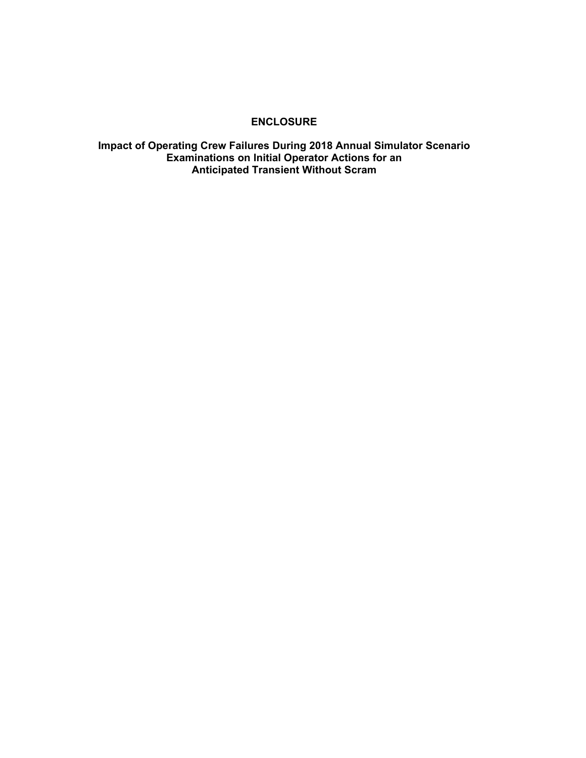## **ENCLOSURE**

**Impact of Operating Crew Failures During 2018 Annual Simulator Scenario Examinations on Initial Operator Actions for an Anticipated Transient Without Scram**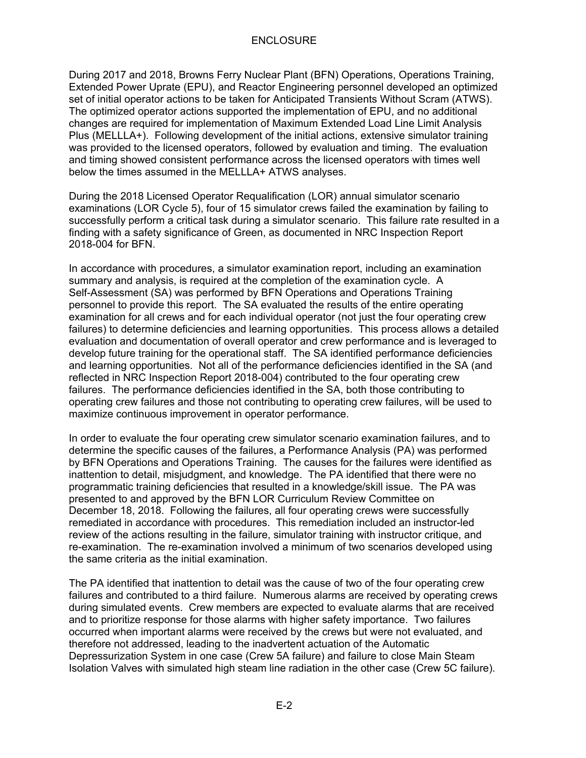During 2017 and 2018, Browns Ferry Nuclear Plant (BFN) Operations, Operations Training, Extended Power Uprate (EPU), and Reactor Engineering personnel developed an optimized set of initial operator actions to be taken for Anticipated Transients Without Scram (ATWS). The optimized operator actions supported the implementation of EPU, and no additional changes are required for implementation of Maximum Extended Load Line Limit Analysis Plus (MELLLA+). Following development of the initial actions, extensive simulator training was provided to the licensed operators, followed by evaluation and timing. The evaluation and timing showed consistent performance across the licensed operators with times well below the times assumed in the MELLLA+ ATWS analyses.

During the 2018 Licensed Operator Requalification (LOR) annual simulator scenario examinations (LOR Cycle 5), four of 15 simulator crews failed the examination by failing to successfully perform a critical task during a simulator scenario. This failure rate resulted in a finding with a safety significance of Green, as documented in NRC Inspection Report 2018-004 for BFN.

In accordance with procedures, a simulator examination report, including an examination summary and analysis, is required at the completion of the examination cycle. A Self-Assessment (SA) was performed by BFN Operations and Operations Training personnel to provide this report. The SA evaluated the results of the entire operating examination for all crews and for each individual operator (not just the four operating crew failures) to determine deficiencies and learning opportunities. This process allows a detailed evaluation and documentation of overall operator and crew performance and is leveraged to develop future training for the operational staff. The SA identified performance deficiencies and learning opportunities. Not all of the performance deficiencies identified in the SA (and reflected in NRC Inspection Report 2018-004) contributed to the four operating crew failures. The performance deficiencies identified in the SA, both those contributing to operating crew failures and those not contributing to operating crew failures, will be used to maximize continuous improvement in operator performance.

In order to evaluate the four operating crew simulator scenario examination failures, and to determine the specific causes of the failures, a Performance Analysis (PA) was performed by BFN Operations and Operations Training. The causes for the failures were identified as inattention to detail, misjudgment, and knowledge. The PA identified that there were no programmatic training deficiencies that resulted in a knowledge/skill issue. The PA was presented to and approved by the BFN LOR Curriculum Review Committee on December 18, 2018. Following the failures, all four operating crews were successfully remediated in accordance with procedures. This remediation included an instructor-led review of the actions resulting in the failure, simulator training with instructor critique, and re-examination. The re-examination involved a minimum of two scenarios developed using the same criteria as the initial examination.

The PA identified that inattention to detail was the cause of two of the four operating crew failures and contributed to a third failure. Numerous alarms are received by operating crews during simulated events. Crew members are expected to evaluate alarms that are received and to prioritize response for those alarms with higher safety importance. Two failures occurred when important alarms were received by the crews but were not evaluated, and therefore not addressed, leading to the inadvertent actuation of the Automatic Depressurization System in one case (Crew 5A failure) and failure to close Main Steam Isolation Valves with simulated high steam line radiation in the other case (Crew 5C failure).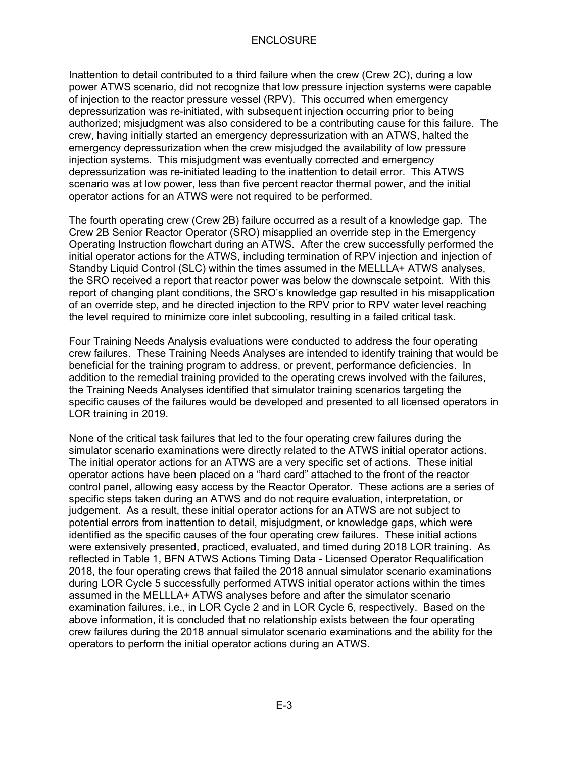Inattention to detail contributed to a third failure when the crew (Crew 2C), during a low power ATWS scenario, did not recognize that low pressure injection systems were capable of injection to the reactor pressure vessel (RPV). This occurred when emergency depressurization was re-initiated, with subsequent injection occurring prior to being authorized; misjudgment was also considered to be a contributing cause for this failure. The crew, having initially started an emergency depressurization with an ATWS, halted the emergency depressurization when the crew misjudged the availability of low pressure injection systems. This misjudgment was eventually corrected and emergency depressurization was re-initiated leading to the inattention to detail error. This ATWS scenario was at low power, less than five percent reactor thermal power, and the initial operator actions for an ATWS were not required to be performed.

The fourth operating crew (Crew 2B) failure occurred as a result of a knowledge gap. The Crew 2B Senior Reactor Operator (SRO) misapplied an override step in the Emergency Operating Instruction flowchart during an ATWS. After the crew successfully performed the initial operator actions for the ATWS, including termination of RPV injection and injection of Standby Liquid Control (SLC) within the times assumed in the MELLLA+ ATWS analyses, the SRO received a report that reactor power was below the downscale setpoint. With this report of changing plant conditions, the SRO's knowledge gap resulted in his misapplication of an override step, and he directed injection to the RPV prior to RPV water level reaching the level required to minimize core inlet subcooling, resulting in a failed critical task.

Four Training Needs Analysis evaluations were conducted to address the four operating crew failures. These Training Needs Analyses are intended to identify training that would be beneficial for the training program to address, or prevent, performance deficiencies. In addition to the remedial training provided to the operating crews involved with the failures, the Training Needs Analyses identified that simulator training scenarios targeting the specific causes of the failures would be developed and presented to all licensed operators in LOR training in 2019.

None of the critical task failures that led to the four operating crew failures during the simulator scenario examinations were directly related to the ATWS initial operator actions. The initial operator actions for an ATWS are a very specific set of actions. These initial operator actions have been placed on a "hard card" attached to the front of the reactor control panel, allowing easy access by the Reactor Operator. These actions are a series of specific steps taken during an ATWS and do not require evaluation, interpretation, or judgement. As a result, these initial operator actions for an ATWS are not subject to potential errors from inattention to detail, misjudgment, or knowledge gaps, which were identified as the specific causes of the four operating crew failures. These initial actions were extensively presented, practiced, evaluated, and timed during 2018 LOR training. As reflected in Table 1, BFN ATWS Actions Timing Data - Licensed Operator Requalification 2018, the four operating crews that failed the 2018 annual simulator scenario examinations during LOR Cycle 5 successfully performed ATWS initial operator actions within the times assumed in the MELLLA+ ATWS analyses before and after the simulator scenario examination failures, i.e., in LOR Cycle 2 and in LOR Cycle 6, respectively. Based on the above information, it is concluded that no relationship exists between the four operating crew failures during the 2018 annual simulator scenario examinations and the ability for the operators to perform the initial operator actions during an ATWS.